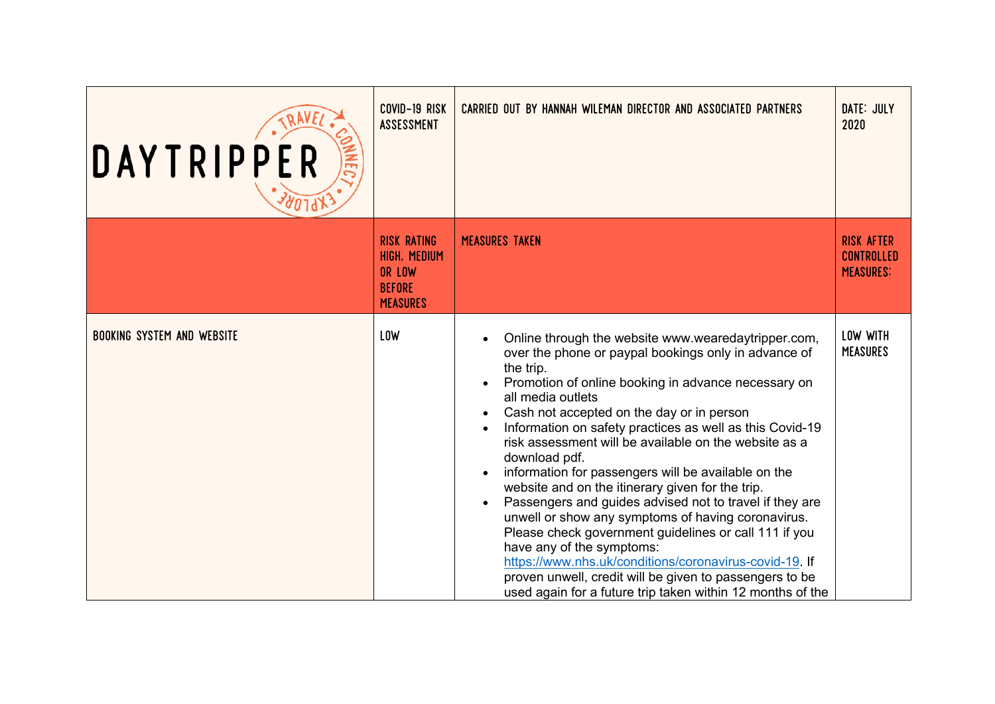| DAYTRIPPER<br><b>ADJ9X</b>        | COVID-19 RISK<br>ASSESSMENT                                                      | CARRIED OUT BY HANNAH WILEMAN DIRECTOR AND ASSOCIATED PARTNERS                                                                                                                                                                                                                                                                                                                                                                                                                                                                                                                                                                                                                                                                                                                                                                                                                                            | DATE: JULY<br>2020                                         |
|-----------------------------------|----------------------------------------------------------------------------------|-----------------------------------------------------------------------------------------------------------------------------------------------------------------------------------------------------------------------------------------------------------------------------------------------------------------------------------------------------------------------------------------------------------------------------------------------------------------------------------------------------------------------------------------------------------------------------------------------------------------------------------------------------------------------------------------------------------------------------------------------------------------------------------------------------------------------------------------------------------------------------------------------------------|------------------------------------------------------------|
|                                   | <b>RISK RATING</b><br>HIGH, MEDIUM<br>OR LOW<br><b>BEFORE</b><br><b>MEASURES</b> | <b>MEASURES TAKEN</b>                                                                                                                                                                                                                                                                                                                                                                                                                                                                                                                                                                                                                                                                                                                                                                                                                                                                                     | <b>RISK AFTER</b><br><b>CONTROLLED</b><br><b>MEASURES:</b> |
| <b>BOOKING SYSTEM AND WEBSITE</b> | <b>LOW</b>                                                                       | Online through the website www.wearedaytripper.com,<br>over the phone or paypal bookings only in advance of<br>the trip.<br>Promotion of online booking in advance necessary on<br>all media outlets<br>Cash not accepted on the day or in person<br>Information on safety practices as well as this Covid-19<br>risk assessment will be available on the website as a<br>download pdf.<br>information for passengers will be available on the<br>website and on the itinerary given for the trip.<br>Passengers and guides advised not to travel if they are<br>$\bullet$<br>unwell or show any symptoms of having coronavirus.<br>Please check government guidelines or call 111 if you<br>have any of the symptoms:<br>https://www.nhs.uk/conditions/coronavirus-covid-19. If<br>proven unwell, credit will be given to passengers to be<br>used again for a future trip taken within 12 months of the | LOW WITH<br><b>MEASURES</b>                                |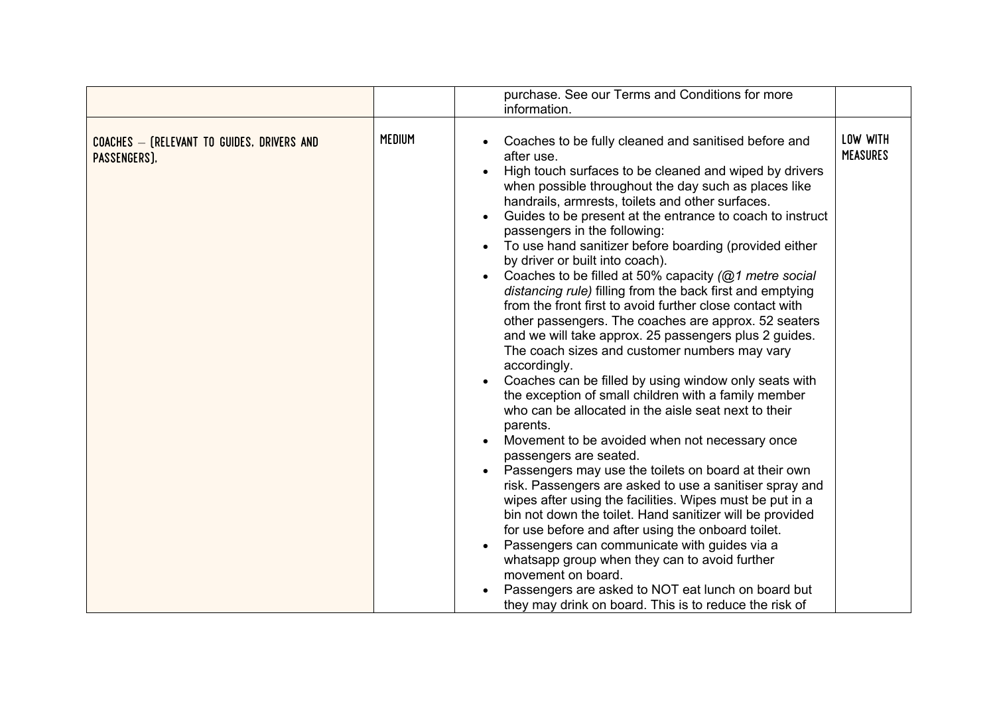|                                                            | purchase. See our Terms and Conditions for more<br>information. |                                                                                                                                                                                                                                                                                                                                                                                                                                                                                                                                                                                                                                                                                                                                                                                                                                                                                                                                                                                                                                                                                                                                                                                                                                                                                                                                                                                                                                                                                                                                                                                                                                     |                             |  |  |  |  |
|------------------------------------------------------------|-----------------------------------------------------------------|-------------------------------------------------------------------------------------------------------------------------------------------------------------------------------------------------------------------------------------------------------------------------------------------------------------------------------------------------------------------------------------------------------------------------------------------------------------------------------------------------------------------------------------------------------------------------------------------------------------------------------------------------------------------------------------------------------------------------------------------------------------------------------------------------------------------------------------------------------------------------------------------------------------------------------------------------------------------------------------------------------------------------------------------------------------------------------------------------------------------------------------------------------------------------------------------------------------------------------------------------------------------------------------------------------------------------------------------------------------------------------------------------------------------------------------------------------------------------------------------------------------------------------------------------------------------------------------------------------------------------------------|-----------------------------|--|--|--|--|
|                                                            |                                                                 |                                                                                                                                                                                                                                                                                                                                                                                                                                                                                                                                                                                                                                                                                                                                                                                                                                                                                                                                                                                                                                                                                                                                                                                                                                                                                                                                                                                                                                                                                                                                                                                                                                     |                             |  |  |  |  |
| COACHES - (RELEVANT TO GUIDES, DRIVERS AND<br>PASSENGERS), | <b>MEDIUM</b>                                                   | Coaches to be fully cleaned and sanitised before and<br>after use.<br>High touch surfaces to be cleaned and wiped by drivers<br>$\bullet$<br>when possible throughout the day such as places like<br>handrails, armrests, toilets and other surfaces.<br>Guides to be present at the entrance to coach to instruct<br>$\bullet$<br>passengers in the following:<br>To use hand sanitizer before boarding (provided either<br>by driver or built into coach).<br>Coaches to be filled at 50% capacity (@1 metre social<br>$\bullet$<br>distancing rule) filling from the back first and emptying<br>from the front first to avoid further close contact with<br>other passengers. The coaches are approx. 52 seaters<br>and we will take approx. 25 passengers plus 2 guides.<br>The coach sizes and customer numbers may vary<br>accordingly.<br>Coaches can be filled by using window only seats with<br>the exception of small children with a family member<br>who can be allocated in the aisle seat next to their<br>parents.<br>Movement to be avoided when not necessary once<br>$\bullet$<br>passengers are seated.<br>Passengers may use the toilets on board at their own<br>$\bullet$<br>risk. Passengers are asked to use a sanitiser spray and<br>wipes after using the facilities. Wipes must be put in a<br>bin not down the toilet. Hand sanitizer will be provided<br>for use before and after using the onboard toilet.<br>Passengers can communicate with guides via a<br>$\bullet$<br>whatsapp group when they can to avoid further<br>movement on board.<br>Passengers are asked to NOT eat lunch on board but | LOW WITH<br><b>MEASURES</b> |  |  |  |  |
|                                                            |                                                                 | they may drink on board. This is to reduce the risk of                                                                                                                                                                                                                                                                                                                                                                                                                                                                                                                                                                                                                                                                                                                                                                                                                                                                                                                                                                                                                                                                                                                                                                                                                                                                                                                                                                                                                                                                                                                                                                              |                             |  |  |  |  |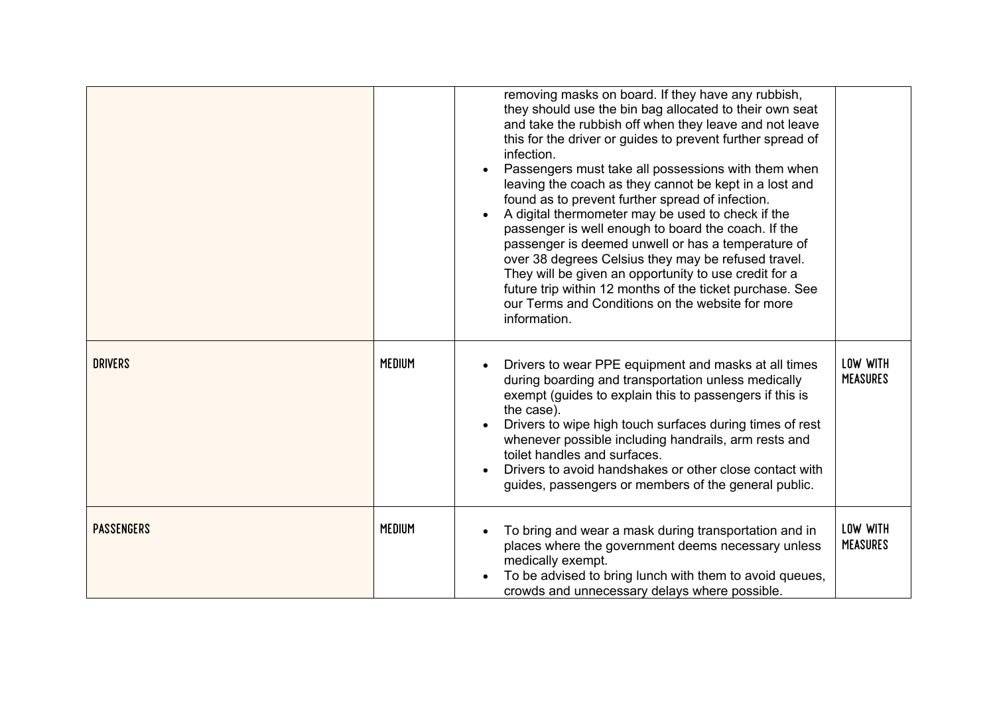|                   |               | removing masks on board. If they have any rubbish,<br>they should use the bin bag allocated to their own seat<br>and take the rubbish off when they leave and not leave<br>this for the driver or guides to prevent further spread of<br>infection.<br>Passengers must take all possessions with them when<br>leaving the coach as they cannot be kept in a lost and<br>found as to prevent further spread of infection.<br>A digital thermometer may be used to check if the<br>passenger is well enough to board the coach. If the<br>passenger is deemed unwell or has a temperature of<br>over 38 degrees Celsius they may be refused travel.<br>They will be given an opportunity to use credit for a<br>future trip within 12 months of the ticket purchase. See<br>our Terms and Conditions on the website for more<br>information. |                             |
|-------------------|---------------|--------------------------------------------------------------------------------------------------------------------------------------------------------------------------------------------------------------------------------------------------------------------------------------------------------------------------------------------------------------------------------------------------------------------------------------------------------------------------------------------------------------------------------------------------------------------------------------------------------------------------------------------------------------------------------------------------------------------------------------------------------------------------------------------------------------------------------------------|-----------------------------|
| <b>DRIVERS</b>    | <b>MEDIUM</b> | Drivers to wear PPE equipment and masks at all times<br>during boarding and transportation unless medically<br>exempt (guides to explain this to passengers if this is<br>the case).<br>Drivers to wipe high touch surfaces during times of rest<br>whenever possible including handrails, arm rests and<br>toilet handles and surfaces.<br>Drivers to avoid handshakes or other close contact with<br>guides, passengers or members of the general public.                                                                                                                                                                                                                                                                                                                                                                                | LOW WITH<br><b>MEASURES</b> |
| <b>PASSENGERS</b> | <b>MEDIUM</b> | To bring and wear a mask during transportation and in<br>places where the government deems necessary unless<br>medically exempt.<br>To be advised to bring lunch with them to avoid queues,<br>crowds and unnecessary delays where possible.                                                                                                                                                                                                                                                                                                                                                                                                                                                                                                                                                                                               | LOW WITH<br><b>MEASURES</b> |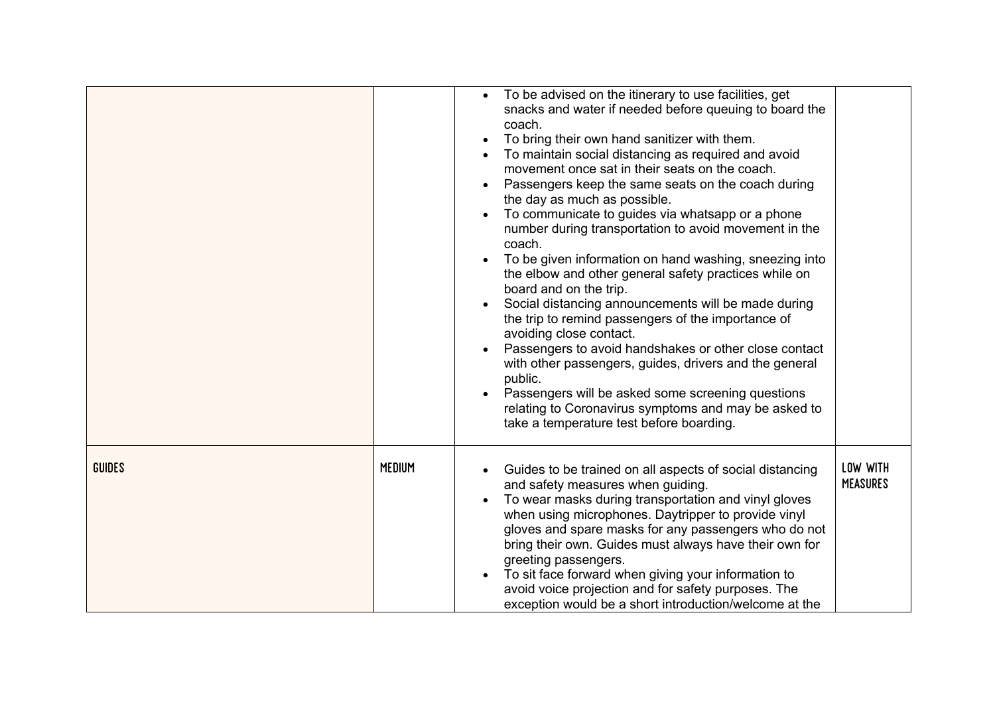|               |               | To be advised on the itinerary to use facilities, get<br>$\bullet$<br>snacks and water if needed before queuing to board the<br>coach.<br>To bring their own hand sanitizer with them.<br>To maintain social distancing as required and avoid<br>movement once sat in their seats on the coach.<br>Passengers keep the same seats on the coach during<br>the day as much as possible.<br>To communicate to guides via whatsapp or a phone<br>number during transportation to avoid movement in the<br>coach.<br>To be given information on hand washing, sneezing into<br>the elbow and other general safety practices while on<br>board and on the trip.<br>Social distancing announcements will be made during<br>the trip to remind passengers of the importance of<br>avoiding close contact.<br>Passengers to avoid handshakes or other close contact<br>with other passengers, guides, drivers and the general<br>public.<br>Passengers will be asked some screening questions<br>relating to Coronavirus symptoms and may be asked to<br>take a temperature test before boarding. |                             |
|---------------|---------------|------------------------------------------------------------------------------------------------------------------------------------------------------------------------------------------------------------------------------------------------------------------------------------------------------------------------------------------------------------------------------------------------------------------------------------------------------------------------------------------------------------------------------------------------------------------------------------------------------------------------------------------------------------------------------------------------------------------------------------------------------------------------------------------------------------------------------------------------------------------------------------------------------------------------------------------------------------------------------------------------------------------------------------------------------------------------------------------|-----------------------------|
| <b>GUIDES</b> | <b>MEDIUM</b> | Guides to be trained on all aspects of social distancing<br>and safety measures when guiding.<br>To wear masks during transportation and vinyl gloves<br>when using microphones. Daytripper to provide vinyl<br>gloves and spare masks for any passengers who do not<br>bring their own. Guides must always have their own for<br>greeting passengers.<br>To sit face forward when giving your information to<br>avoid voice projection and for safety purposes. The<br>exception would be a short introduction/welcome at the                                                                                                                                                                                                                                                                                                                                                                                                                                                                                                                                                           | LOW WITH<br><b>MEASURES</b> |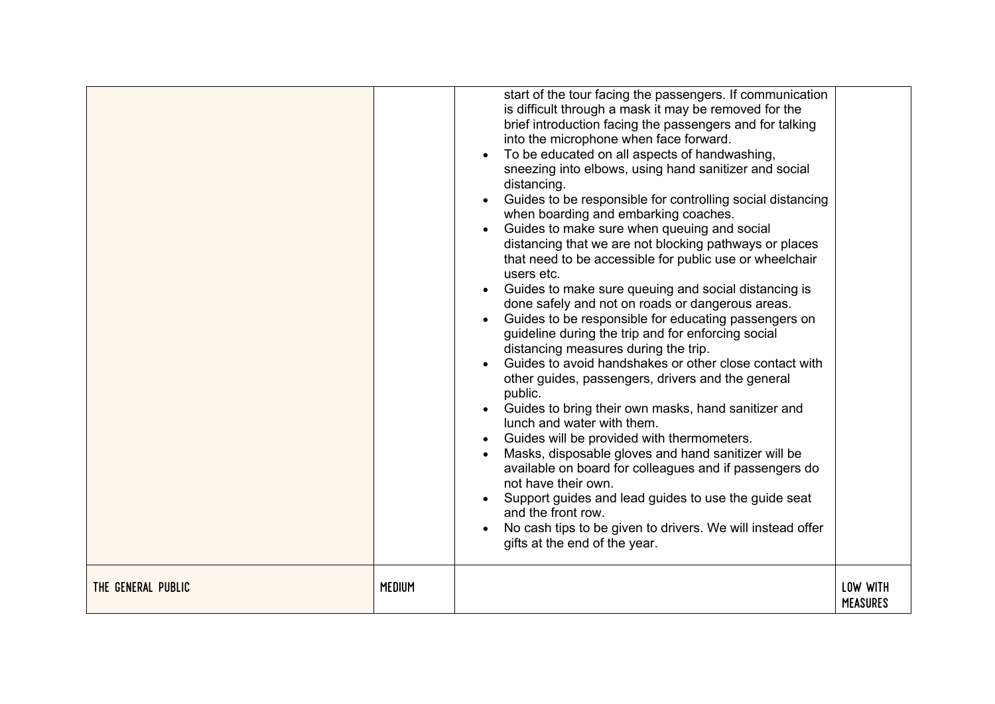|                    |               | start of the tour facing the passengers. If communication<br>is difficult through a mask it may be removed for the<br>brief introduction facing the passengers and for talking<br>into the microphone when face forward.<br>To be educated on all aspects of handwashing,<br>sneezing into elbows, using hand sanitizer and social<br>distancing.<br>Guides to be responsible for controlling social distancing<br>when boarding and embarking coaches.<br>Guides to make sure when queuing and social<br>distancing that we are not blocking pathways or places<br>that need to be accessible for public use or wheelchair<br>users etc.<br>Guides to make sure queuing and social distancing is<br>done safely and not on roads or dangerous areas.<br>Guides to be responsible for educating passengers on<br>guideline during the trip and for enforcing social<br>distancing measures during the trip.<br>Guides to avoid handshakes or other close contact with<br>other guides, passengers, drivers and the general<br>public.<br>Guides to bring their own masks, hand sanitizer and<br>lunch and water with them.<br>Guides will be provided with thermometers.<br>Masks, disposable gloves and hand sanitizer will be<br>available on board for colleagues and if passengers do<br>not have their own.<br>Support guides and lead guides to use the guide seat<br>and the front row.<br>No cash tips to be given to drivers. We will instead offer<br>gifts at the end of the year. |                             |
|--------------------|---------------|-----------------------------------------------------------------------------------------------------------------------------------------------------------------------------------------------------------------------------------------------------------------------------------------------------------------------------------------------------------------------------------------------------------------------------------------------------------------------------------------------------------------------------------------------------------------------------------------------------------------------------------------------------------------------------------------------------------------------------------------------------------------------------------------------------------------------------------------------------------------------------------------------------------------------------------------------------------------------------------------------------------------------------------------------------------------------------------------------------------------------------------------------------------------------------------------------------------------------------------------------------------------------------------------------------------------------------------------------------------------------------------------------------------------------------------------------------------------------------------------------|-----------------------------|
| THE GENERAL PUBLIC | <b>MEDIUM</b> |                                                                                                                                                                                                                                                                                                                                                                                                                                                                                                                                                                                                                                                                                                                                                                                                                                                                                                                                                                                                                                                                                                                                                                                                                                                                                                                                                                                                                                                                                               | LOW WITH<br><b>MEASURES</b> |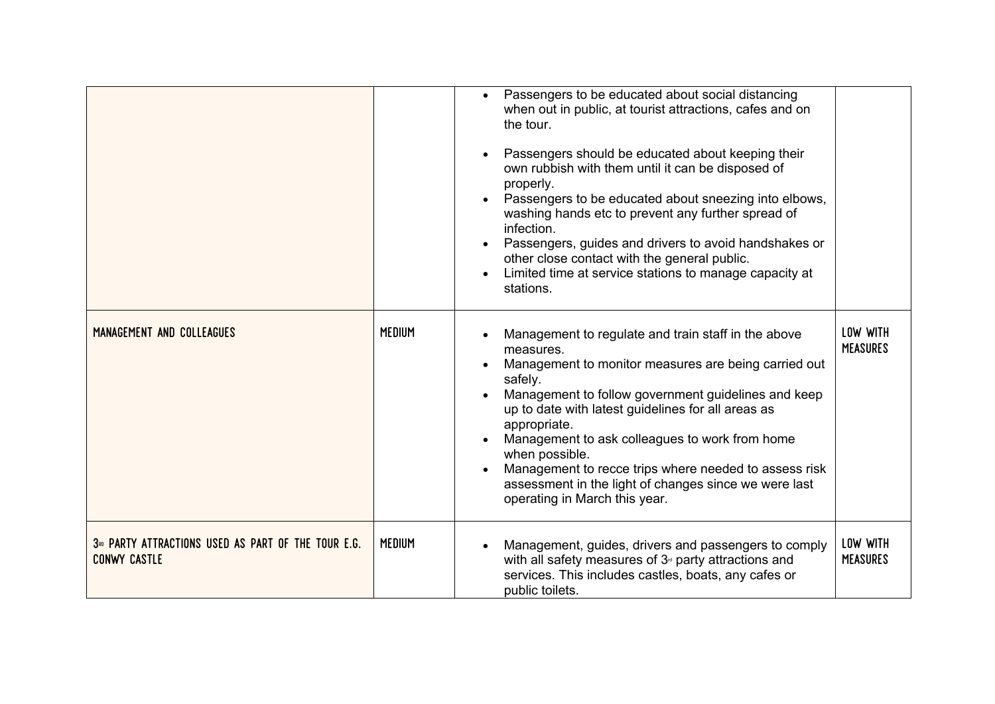|                                                                                        |               | Passengers to be educated about social distancing<br>$\bullet$<br>when out in public, at tourist attractions, cafes and on<br>the tour.<br>Passengers should be educated about keeping their<br>own rubbish with them until it can be disposed of<br>properly.<br>Passengers to be educated about sneezing into elbows,<br>washing hands etc to prevent any further spread of<br>infection.<br>Passengers, guides and drivers to avoid handshakes or<br>other close contact with the general public.<br>Limited time at service stations to manage capacity at<br>stations. |                             |
|----------------------------------------------------------------------------------------|---------------|-----------------------------------------------------------------------------------------------------------------------------------------------------------------------------------------------------------------------------------------------------------------------------------------------------------------------------------------------------------------------------------------------------------------------------------------------------------------------------------------------------------------------------------------------------------------------------|-----------------------------|
| MANAGEMENT AND COLLEAGUES                                                              | <b>MEDIUM</b> | Management to regulate and train staff in the above<br>measures.<br>Management to monitor measures are being carried out<br>safely.<br>Management to follow government guidelines and keep<br>up to date with latest guidelines for all areas as<br>appropriate.<br>Management to ask colleagues to work from home<br>when possible.<br>Management to recce trips where needed to assess risk<br>assessment in the light of changes since we were last<br>operating in March this year.                                                                                     | LOW WITH<br><b>MEASURES</b> |
| 3 <sup>80</sup> PARTY ATTRACTIONS USED AS PART OF THE TOUR E.G.<br><b>CONWY CASTLE</b> | <b>MEDIUM</b> | Management, guides, drivers and passengers to comply<br>with all safety measures of $3°$ party attractions and<br>services. This includes castles, boats, any cafes or<br>public toilets.                                                                                                                                                                                                                                                                                                                                                                                   | LOW WITH<br><b>MEASURES</b> |